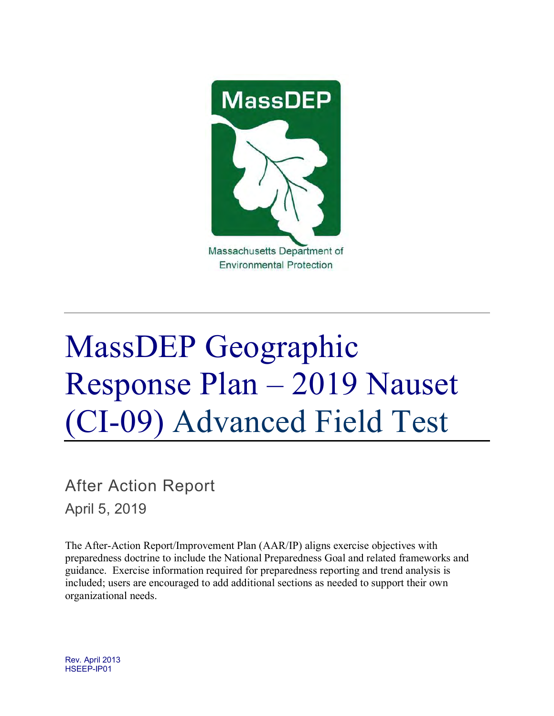

# MassDEP Geographic Response Plan – 2019 Nauset (CI-09) Advanced Field Test

After Action Report April 5, 2019

The After-Action Report/Improvement Plan (AAR/IP) aligns exercise objectives with preparedness doctrine to include the National Preparedness Goal and related frameworks and guidance. Exercise information required for preparedness reporting and trend analysis is included; users are encouraged to add additional sections as needed to support their own organizational needs.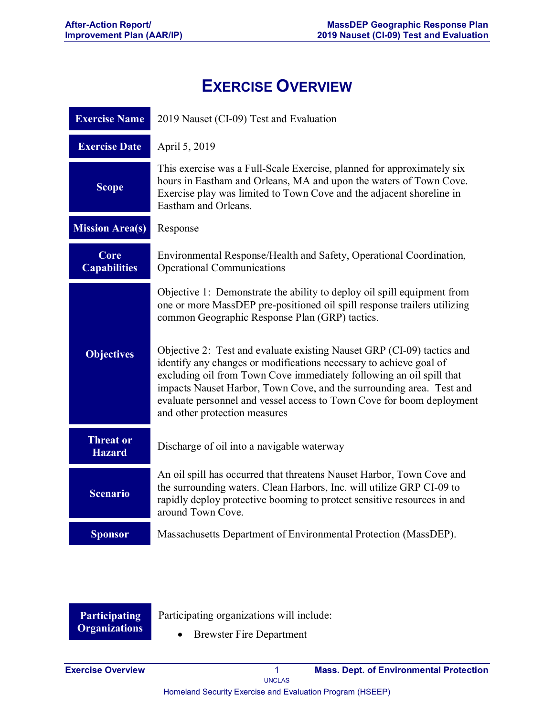## **EXERCISE OVERVIEW**

| <b>Exercise Name</b>              | 2019 Nauset (CI-09) Test and Evaluation                                                                                                                                                                                                                                                                                                                                                                |  |  |  |
|-----------------------------------|--------------------------------------------------------------------------------------------------------------------------------------------------------------------------------------------------------------------------------------------------------------------------------------------------------------------------------------------------------------------------------------------------------|--|--|--|
| <b>Exercise Date</b>              | April 5, 2019                                                                                                                                                                                                                                                                                                                                                                                          |  |  |  |
| <b>Scope</b>                      | This exercise was a Full-Scale Exercise, planned for approximately six<br>hours in Eastham and Orleans, MA and upon the waters of Town Cove.<br>Exercise play was limited to Town Cove and the adjacent shoreline in<br>Eastham and Orleans.                                                                                                                                                           |  |  |  |
| <b>Mission Area(s)</b>            | Response                                                                                                                                                                                                                                                                                                                                                                                               |  |  |  |
| Core<br><b>Capabilities</b>       | Environmental Response/Health and Safety, Operational Coordination,<br><b>Operational Communications</b>                                                                                                                                                                                                                                                                                               |  |  |  |
|                                   | Objective 1: Demonstrate the ability to deploy oil spill equipment from<br>one or more MassDEP pre-positioned oil spill response trailers utilizing<br>common Geographic Response Plan (GRP) tactics.                                                                                                                                                                                                  |  |  |  |
| <b>Objectives</b>                 | Objective 2: Test and evaluate existing Nauset GRP (CI-09) tactics and<br>identify any changes or modifications necessary to achieve goal of<br>excluding oil from Town Cove immediately following an oil spill that<br>impacts Nauset Harbor, Town Cove, and the surrounding area. Test and<br>evaluate personnel and vessel access to Town Cove for boom deployment<br>and other protection measures |  |  |  |
| <b>Threat or</b><br><b>Hazard</b> | Discharge of oil into a navigable waterway                                                                                                                                                                                                                                                                                                                                                             |  |  |  |
| <b>Scenario</b>                   | An oil spill has occurred that threatens Nauset Harbor, Town Cove and<br>the surrounding waters. Clean Harbors, Inc. will utilize GRP CI-09 to<br>rapidly deploy protective booming to protect sensitive resources in and<br>around Town Cove.                                                                                                                                                         |  |  |  |
| <b>Sponsor</b>                    | Massachusetts Department of Environmental Protection (MassDEP).                                                                                                                                                                                                                                                                                                                                        |  |  |  |

**Participating Organizations**

Participating organizations will include:

• Brewster Fire Department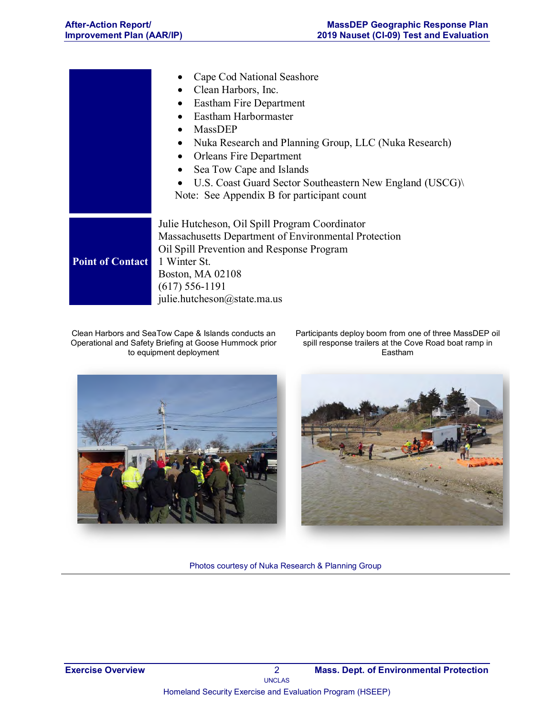|                         | Cape Cod National Seashore<br>Clean Harbors, Inc.<br>Eastham Fire Department<br>٠<br>Eastham Harbormaster<br>MassDEP<br>$\bullet$<br>Nuka Research and Planning Group, LLC (Nuka Research)<br>$\bullet$<br><b>Orleans Fire Department</b><br>$\bullet$<br>Sea Tow Cape and Islands<br>$\bullet$<br>U.S. Coast Guard Sector Southeastern New England (USCG)<br>Note: See Appendix B for participant count |  |  |  |
|-------------------------|----------------------------------------------------------------------------------------------------------------------------------------------------------------------------------------------------------------------------------------------------------------------------------------------------------------------------------------------------------------------------------------------------------|--|--|--|
| <b>Point of Contact</b> | Julie Hutcheson, Oil Spill Program Coordinator<br>Massachusetts Department of Environmental Protection<br>Oil Spill Prevention and Response Program<br>1 Winter St.<br>Boston, MA 02108<br>$(617) 556 - 1191$<br>julie.hutcheson@state.ma.us                                                                                                                                                             |  |  |  |

Clean Harbors and SeaTow Cape & Islands conducts an Operational and Safety Briefing at Goose Hummock prior to equipment deployment

Participants deploy boom from one of three MassDEP oil spill response trailers at the Cove Road boat ramp in Eastham





Photos courtesy of Nuka Research & Planning Group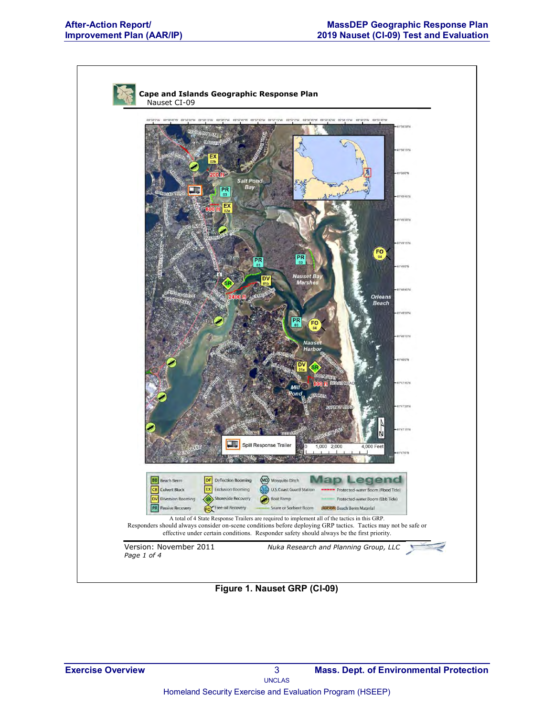

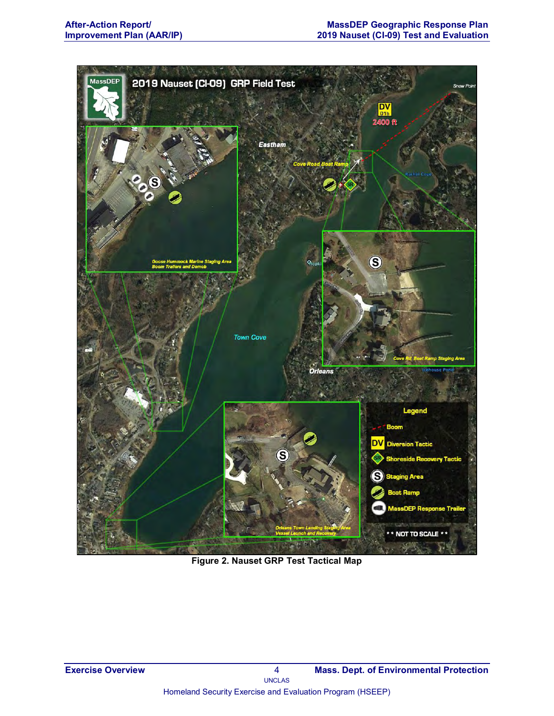

**Figure 2. Nauset GRP Test Tactical Map**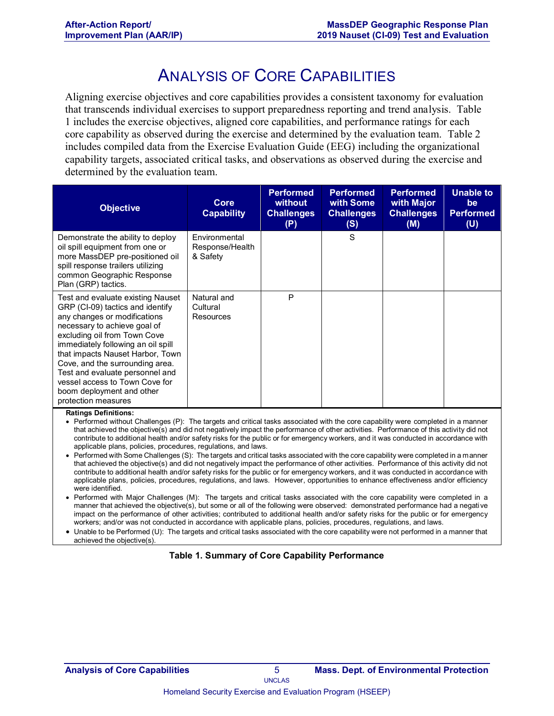## ANALYSIS OF CORE CAPABILITIES

Aligning exercise objectives and core capabilities provides a consistent taxonomy for evaluation that transcends individual exercises to support preparedness reporting and trend analysis. Table 1 includes the exercise objectives, aligned core capabilities, and performance ratings for each core capability as observed during the exercise and determined by the evaluation team. Table 2 includes compiled data from the Exercise Evaluation Guide (EEG) including the organizational capability targets, associated critical tasks, and observations as observed during the exercise and determined by the evaluation team.

| <b>Objective</b>                                                                                                                                                                                                                                                                                                                                                                                            | Core<br><b>Capability</b>                    | <b>Performed</b><br>without<br><b>Challenges</b><br>(P) | <b>Performed</b><br>with Some<br><b>Challenges</b><br>(S) | <b>Performed</b><br>with Major<br><b>Challenges</b><br>(M) | <b>Unable to</b><br>be<br><b>Performed</b><br>(U) |
|-------------------------------------------------------------------------------------------------------------------------------------------------------------------------------------------------------------------------------------------------------------------------------------------------------------------------------------------------------------------------------------------------------------|----------------------------------------------|---------------------------------------------------------|-----------------------------------------------------------|------------------------------------------------------------|---------------------------------------------------|
| Demonstrate the ability to deploy<br>oil spill equipment from one or<br>more MassDEP pre-positioned oil<br>spill response trailers utilizing<br>common Geographic Response<br>Plan (GRP) tactics.                                                                                                                                                                                                           | Environmental<br>Response/Health<br>& Safety |                                                         | S                                                         |                                                            |                                                   |
| Test and evaluate existing Nauset<br>GRP (CI-09) tactics and identify<br>any changes or modifications<br>necessary to achieve goal of<br>excluding oil from Town Cove<br>immediately following an oil spill<br>that impacts Nauset Harbor, Town<br>Cove, and the surrounding area.<br>Test and evaluate personnel and<br>vessel access to Town Cove for<br>boom deployment and other<br>protection measures | Natural and<br>Cultural<br>Resources         | P                                                       |                                                           |                                                            |                                                   |

#### **Ratings Definitions:**

• Performed without Challenges (P): The targets and critical tasks associated with the core capability were completed in a manner that achieved the objective(s) and did not negatively impact the performance of other activities. Performance of this activity did not contribute to additional health and/or safety risks for the public or for emergency workers, and it was conducted in accordance with applicable plans, policies, procedures, regulations, and laws.

- Performed with Some Challenges (S): The targets and critical tasks associated with the core capability were completed in a manner that achieved the objective(s) and did not negatively impact the performance of other activities. Performance of this activity did not contribute to additional health and/or safety risks for the public or for emergency workers, and it was conducted in accordance with applicable plans, policies, procedures, regulations, and laws. However, opportunities to enhance effectiveness and/or efficiency were identified.
- Performed with Major Challenges (M): The targets and critical tasks associated with the core capability were completed in a manner that achieved the objective(s), but some or all of the following were observed: demonstrated performance had a negative impact on the performance of other activities; contributed to additional health and/or safety risks for the public or for emergency workers; and/or was not conducted in accordance with applicable plans, policies, procedures, regulations, and laws.
- Unable to be Performed (U): The targets and critical tasks associated with the core capability were not performed in a manner that achieved the objective(s).

#### **Table 1. Summary of Core Capability Performance**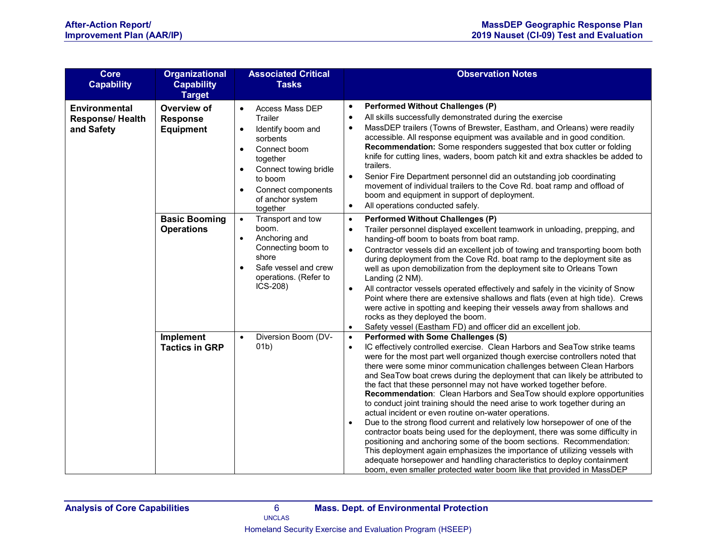| <b>Core</b><br><b>Capability</b>                              | <b>Organizational</b><br><b>Capability</b><br><b>Target</b> | <b>Associated Critical</b><br><b>Tasks</b>                                                                                                                                                                                                         | <b>Observation Notes</b>                                                                                                                                                                                                                                                                                                                                                                                                                                                                                                                                                                                                                                                                                                                                                                                                                                                                                                                                                                                                                                                                                                                                          |
|---------------------------------------------------------------|-------------------------------------------------------------|----------------------------------------------------------------------------------------------------------------------------------------------------------------------------------------------------------------------------------------------------|-------------------------------------------------------------------------------------------------------------------------------------------------------------------------------------------------------------------------------------------------------------------------------------------------------------------------------------------------------------------------------------------------------------------------------------------------------------------------------------------------------------------------------------------------------------------------------------------------------------------------------------------------------------------------------------------------------------------------------------------------------------------------------------------------------------------------------------------------------------------------------------------------------------------------------------------------------------------------------------------------------------------------------------------------------------------------------------------------------------------------------------------------------------------|
| <b>Environmental</b><br><b>Response/ Health</b><br>and Safety | Overview of<br><b>Response</b><br><b>Equipment</b>          | Access Mass DEP<br>$\bullet$<br>Trailer<br>Identify boom and<br>$\bullet$<br>sorbents<br>Connect boom<br>$\bullet$<br>together<br>Connect towing bridle<br>$\bullet$<br>to boom<br>Connect components<br>$\bullet$<br>of anchor system<br>together | <b>Performed Without Challenges (P)</b><br>$\bullet$<br>All skills successfully demonstrated during the exercise<br>$\bullet$<br>MassDEP trailers (Towns of Brewster, Eastham, and Orleans) were readily<br>$\bullet$<br>accessible. All response equipment was available and in good condition.<br>Recommendation: Some responders suggested that box cutter or folding<br>knife for cutting lines, waders, boom patch kit and extra shackles be added to<br>trailers.<br>$\bullet$<br>Senior Fire Department personnel did an outstanding job coordinating<br>movement of individual trailers to the Cove Rd. boat ramp and offload of<br>boom and equipment in support of deployment.<br>All operations conducted safely.<br>$\bullet$                                                                                                                                                                                                                                                                                                                                                                                                                         |
|                                                               | <b>Basic Booming</b><br><b>Operations</b>                   | Transport and tow<br>$\bullet$<br>boom.<br>Anchoring and<br>$\bullet$<br>Connecting boom to<br>shore<br>Safe vessel and crew<br>$\bullet$<br>operations. (Refer to<br>$ICS-208$                                                                    | <b>Performed Without Challenges (P)</b><br>$\bullet$<br>Trailer personnel displayed excellent teamwork in unloading, prepping, and<br>$\bullet$<br>handing-off boom to boats from boat ramp.<br>Contractor vessels did an excellent job of towing and transporting boom both<br>$\bullet$<br>during deployment from the Cove Rd. boat ramp to the deployment site as<br>well as upon demobilization from the deployment site to Orleans Town<br>Landing (2 NM).<br>All contractor vessels operated effectively and safely in the vicinity of Snow<br>$\bullet$<br>Point where there are extensive shallows and flats (even at high tide). Crews<br>were active in spotting and keeping their vessels away from shallows and<br>rocks as they deployed the boom.<br>Safety vessel (Eastham FD) and officer did an excellent job.<br>$\bullet$                                                                                                                                                                                                                                                                                                                      |
|                                                               | <b>Implement</b><br><b>Tactics in GRP</b>                   | Diversion Boom (DV-<br>$\bullet$<br>(01b)                                                                                                                                                                                                          | <b>Performed with Some Challenges (S)</b><br>$\bullet$<br>IC effectively controlled exercise. Clean Harbors and SeaTow strike teams<br>$\bullet$<br>were for the most part well organized though exercise controllers noted that<br>there were some minor communication challenges between Clean Harbors<br>and SeaTow boat crews during the deployment that can likely be attributed to<br>the fact that these personnel may not have worked together before.<br>Recommendation: Clean Harbors and SeaTow should explore opportunities<br>to conduct joint training should the need arise to work together during an<br>actual incident or even routine on-water operations.<br>Due to the strong flood current and relatively low horsepower of one of the<br>$\bullet$<br>contractor boats being used for the deployment, there was some difficulty in<br>positioning and anchoring some of the boom sections. Recommendation:<br>This deployment again emphasizes the importance of utilizing vessels with<br>adequate horsepower and handling characteristics to deploy containment<br>boom, even smaller protected water boom like that provided in MassDEP |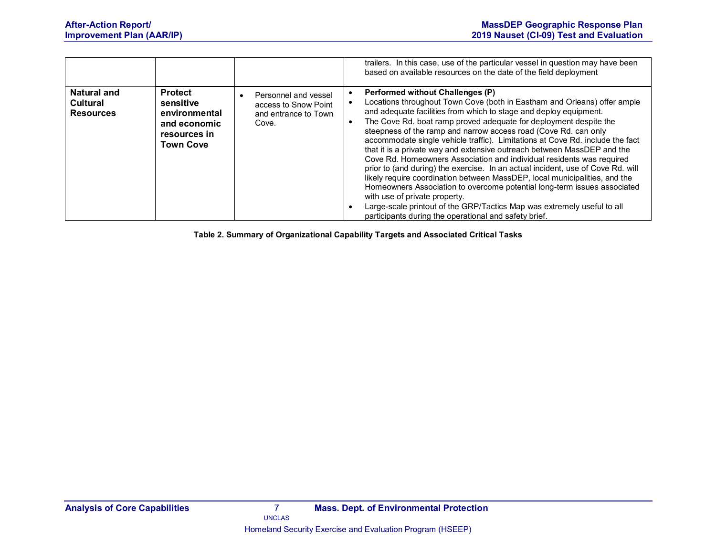|                                                           |                                                                                                  |                                                                               | trailers. In this case, use of the particular vessel in question may have been<br>based on available resources on the date of the field deployment                                                                                                                                                                                                                                                                                                                                                                                                                                                                                                                                                                                                                                                                                                                                                                                                                                      |
|-----------------------------------------------------------|--------------------------------------------------------------------------------------------------|-------------------------------------------------------------------------------|-----------------------------------------------------------------------------------------------------------------------------------------------------------------------------------------------------------------------------------------------------------------------------------------------------------------------------------------------------------------------------------------------------------------------------------------------------------------------------------------------------------------------------------------------------------------------------------------------------------------------------------------------------------------------------------------------------------------------------------------------------------------------------------------------------------------------------------------------------------------------------------------------------------------------------------------------------------------------------------------|
| <b>Natural and</b><br><b>Cultural</b><br><b>Resources</b> | <b>Protect</b><br>sensitive<br>environmental<br>and economic<br>resources in<br><b>Town Cove</b> | Personnel and vessel<br>access to Snow Point<br>and entrance to Town<br>Cove. | <b>Performed without Challenges (P)</b><br>Locations throughout Town Cove (both in Eastham and Orleans) offer ample<br>and adequate facilities from which to stage and deploy equipment.<br>The Cove Rd. boat ramp proved adequate for deployment despite the<br>steepness of the ramp and narrow access road (Cove Rd. can only<br>accommodate single vehicle traffic). Limitations at Cove Rd. include the fact<br>that it is a private way and extensive outreach between MassDEP and the<br>Cove Rd. Homeowners Association and individual residents was required<br>prior to (and during) the exercise. In an actual incident, use of Cove Rd. will<br>likely require coordination between MassDEP, local municipalities, and the<br>Homeowners Association to overcome potential long-term issues associated<br>with use of private property.<br>Large-scale printout of the GRP/Tactics Map was extremely useful to all<br>participants during the operational and safety brief. |

**Table 2. Summary of Organizational Capability Targets and Associated Critical Tasks**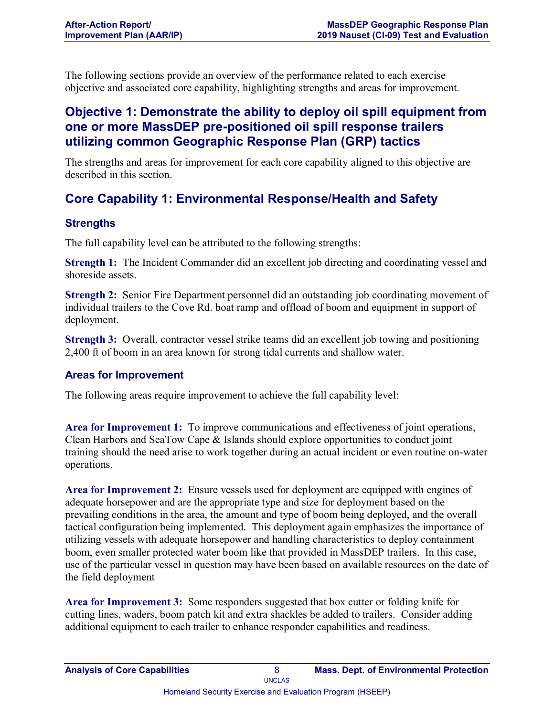The following sections provide an overview of the performance related to each exercise objective and associated core capability, highlighting strengths and areas for improvement.

### **Objective 1: Demonstrate the ability to deploy oil spill equipment from one or more MassDEP pre-positioned oil spill response trailers utilizing common Geographic Response Plan (GRP) tactics**

The strengths and areas for improvement for each core capability aligned to this objective are described in this section.

## **Core Capability 1: Environmental Response/Health and Safety**

#### **Strengths**

The full capability level can be attributed to the following strengths:

**Strength 1:** The Incident Commander did an excellent job directing and coordinating vessel and shoreside assets.

**Strength 2:** Senior Fire Department personnel did an outstanding job coordinating movement of individual trailers to the Cove Rd. boat ramp and offload of boom and equipment in support of deployment.

**Strength 3:** Overall, contractor vessel strike teams did an excellent job towing and positioning 2,400 ft of boom in an area known for strong tidal currents and shallow water.

#### **Areas for Improvement**

The following areas require improvement to achieve the full capability level:

**Area for Improvement 1:** To improve communications and effectiveness of joint operations, Clean Harbors and SeaTow Cape & Islands should explore opportunities to conduct joint training should the need arise to work together during an actual incident or even routine on-water operations.

**Area for Improvement 2:** Ensure vessels used for deployment are equipped with engines of adequate horsepower and are the appropriate type and size for deployment based on the prevailing conditions in the area, the amount and type of boom being deployed, and the overall tactical configuration being implemented. This deployment again emphasizes the importance of utilizing vessels with adequate horsepower and handling characteristics to deploy containment boom, even smaller protected water boom like that provided in MassDEP trailers. In this case, use of the particular vessel in question may have been based on available resources on the date of the field deployment

**Area for Improvement 3:** Some responders suggested that box cutter or folding knife for cutting lines, waders, boom patch kit and extra shackles be added to trailers. Consider adding additional equipment to each trailer to enhance responder capabilities and readiness.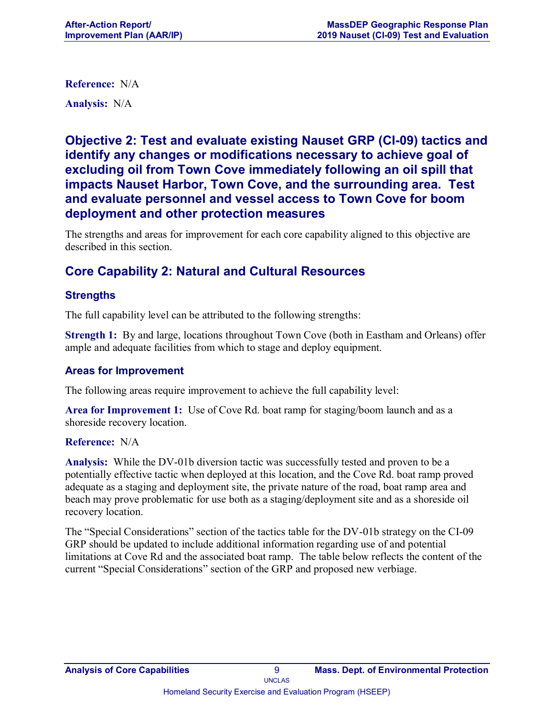**Reference:** N/A

**Analysis:** N/A

**Objective 2: Test and evaluate existing Nauset GRP (CI-09) tactics and identify any changes or modifications necessary to achieve goal of excluding oil from Town Cove immediately following an oil spill that impacts Nauset Harbor, Town Cove, and the surrounding area. Test and evaluate personnel and vessel access to Town Cove for boom deployment and other protection measures**

The strengths and areas for improvement for each core capability aligned to this objective are described in this section.

### **Core Capability 2: Natural and Cultural Resources**

#### **Strengths**

The full capability level can be attributed to the following strengths:

**Strength 1:** By and large, locations throughout Town Cove (both in Eastham and Orleans) offer ample and adequate facilities from which to stage and deploy equipment.

#### **Areas for Improvement**

The following areas require improvement to achieve the full capability level:

**Area for Improvement 1:** Use of Cove Rd. boat ramp for staging/boom launch and as a shoreside recovery location.

#### **Reference:** N/A

**Analysis:** While the DV-01b diversion tactic was successfully tested and proven to be a potentially effective tactic when deployed at this location, and the Cove Rd. boat ramp proved adequate as a staging and deployment site, the private nature of the road, boat ramp area and beach may prove problematic for use both as a staging/deployment site and as a shoreside oil recovery location.

The "Special Considerations" section of the tactics table for the DV-01b strategy on the CI-09 GRP should be updated to include additional information regarding use of and potential limitations at Cove Rd and the associated boat ramp. The table below reflects the content of the current "Special Considerations" section of the GRP and proposed new verbiage.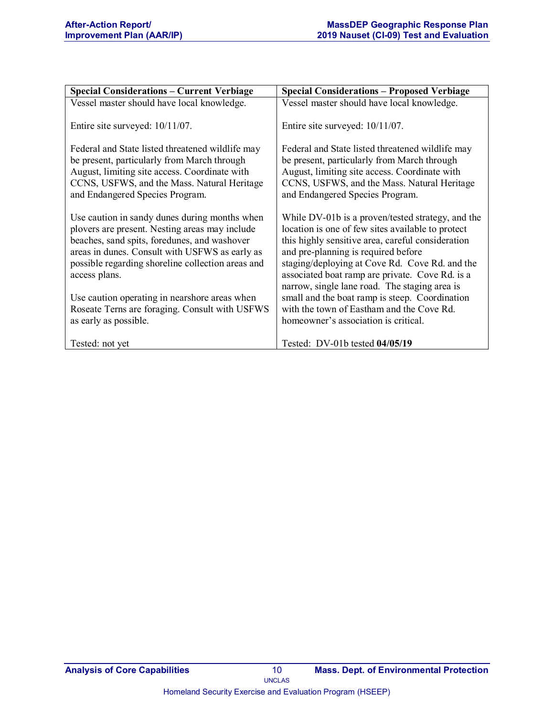| <b>Special Considerations - Current Verbiage</b>                                                                                                                                                                                                                                                                                                                                                    | <b>Special Considerations - Proposed Verbiage</b>                                                                                                                                                                                                                                                                                                                                                                                                                                               |
|-----------------------------------------------------------------------------------------------------------------------------------------------------------------------------------------------------------------------------------------------------------------------------------------------------------------------------------------------------------------------------------------------------|-------------------------------------------------------------------------------------------------------------------------------------------------------------------------------------------------------------------------------------------------------------------------------------------------------------------------------------------------------------------------------------------------------------------------------------------------------------------------------------------------|
| Vessel master should have local knowledge.                                                                                                                                                                                                                                                                                                                                                          | Vessel master should have local knowledge.                                                                                                                                                                                                                                                                                                                                                                                                                                                      |
| Entire site surveyed: 10/11/07.                                                                                                                                                                                                                                                                                                                                                                     | Entire site surveyed: 10/11/07.                                                                                                                                                                                                                                                                                                                                                                                                                                                                 |
| Federal and State listed threatened wildlife may<br>be present, particularly from March through<br>August, limiting site access. Coordinate with<br>CCNS, USFWS, and the Mass. Natural Heritage<br>and Endangered Species Program.                                                                                                                                                                  | Federal and State listed threatened wildlife may<br>be present, particularly from March through<br>August, limiting site access. Coordinate with<br>CCNS, USFWS, and the Mass. Natural Heritage<br>and Endangered Species Program.                                                                                                                                                                                                                                                              |
| Use caution in sandy dunes during months when<br>plovers are present. Nesting areas may include<br>beaches, sand spits, foredunes, and washover<br>areas in dunes. Consult with USFWS as early as<br>possible regarding shoreline collection areas and<br>access plans.<br>Use caution operating in nearshore areas when<br>Roseate Terns are foraging. Consult with USFWS<br>as early as possible. | While DV-01b is a proven/tested strategy, and the<br>location is one of few sites available to protect<br>this highly sensitive area, careful consideration<br>and pre-planning is required before<br>staging/deploying at Cove Rd. Cove Rd. and the<br>associated boat ramp are private. Cove Rd. is a<br>narrow, single lane road. The staging area is<br>small and the boat ramp is steep. Coordination<br>with the town of Eastham and the Cove Rd.<br>homeowner's association is critical. |
| Tested: not yet                                                                                                                                                                                                                                                                                                                                                                                     | Tested: DV-01b tested 04/05/19                                                                                                                                                                                                                                                                                                                                                                                                                                                                  |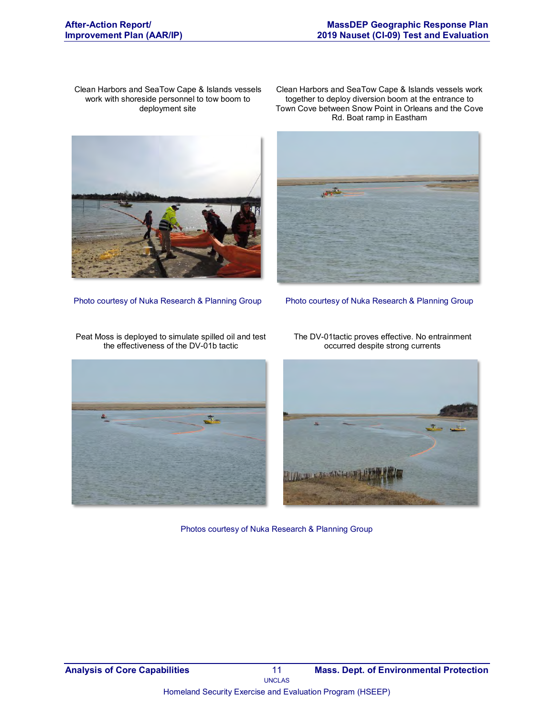Clean Harbors and SeaTow Cape & Islands vessels work with shoreside personnel to tow boom to deployment site



Clean Harbors and SeaTow Cape & Islands vessels work together to deploy diversion boom at the entrance to Town Cove between Snow Point in Orleans and the Cove Rd. Boat ramp in Eastham

Photo courtesy of Nuka Research & Planning Group Photo courtesy of Nuka Research & Planning Group



The DV-01tactic proves effective. No entrainment occurred despite strong currents



Photos courtesy of Nuka Research & Planning Group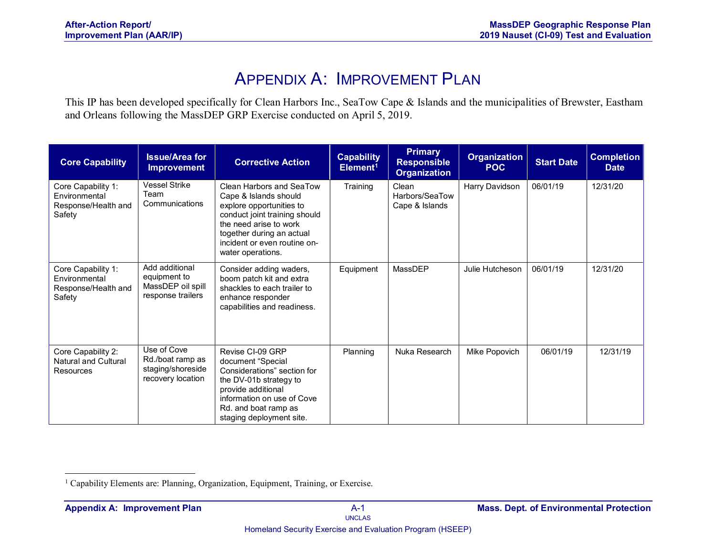## APPENDIX A: IMPROVEMENT PLAN

This IP has been developed specifically for Clean Harbors Inc., SeaTow Cape & Islands and the municipalities of Brewster, Eastham and Orleans following the MassDEP GRP Exercise conducted on April 5, 2019.

| <b>Core Capability</b>                                               | <b>Issue/Area for</b><br><b>Improvement</b>                               | <b>Corrective Action</b>                                                                                                                                                                                                   | <b>Capability</b><br>Element <sup>1</sup> | <b>Primary</b><br><b>Responsible</b><br><b>Organization</b> | <b>Organization</b><br><b>POC</b> | <b>Start Date</b> | <b>Completion</b><br><b>Date</b> |
|----------------------------------------------------------------------|---------------------------------------------------------------------------|----------------------------------------------------------------------------------------------------------------------------------------------------------------------------------------------------------------------------|-------------------------------------------|-------------------------------------------------------------|-----------------------------------|-------------------|----------------------------------|
| Core Capability 1:<br>Environmental<br>Response/Health and<br>Safety | <b>Vessel Strike</b><br>Team<br>Communications                            | Clean Harbors and SeaTow<br>Cape & Islands should<br>explore opportunities to<br>conduct joint training should<br>the need arise to work<br>together during an actual<br>incident or even routine on-<br>water operations. | Training                                  | Clean<br>Harbors/SeaTow<br>Cape & Islands                   | Harry Davidson                    | 06/01/19          | 12/31/20                         |
| Core Capability 1:<br>Environmental<br>Response/Health and<br>Safety | Add additional<br>equipment to<br>MassDEP oil spill<br>response trailers  | Consider adding waders,<br>boom patch kit and extra<br>shackles to each trailer to<br>enhance responder<br>capabilities and readiness.                                                                                     | Equipment                                 | MassDEP                                                     | Julie Hutcheson                   | 06/01/19          | 12/31/20                         |
| Core Capability 2:<br>Natural and Cultural<br>Resources              | Use of Cove<br>Rd./boat ramp as<br>staging/shoreside<br>recovery location | Revise CI-09 GRP<br>document "Special<br>Considerations" section for<br>the DV-01b strategy to<br>provide additional<br>information on use of Cove<br>Rd. and boat ramp as<br>staging deployment site.                     | Planning                                  | Nuka Research                                               | Mike Popovich                     | 06/01/19          | 12/31/19                         |

 $\overline{a}$ <sup>1</sup> Capability Elements are: Planning, Organization, Equipment, Training, or Exercise.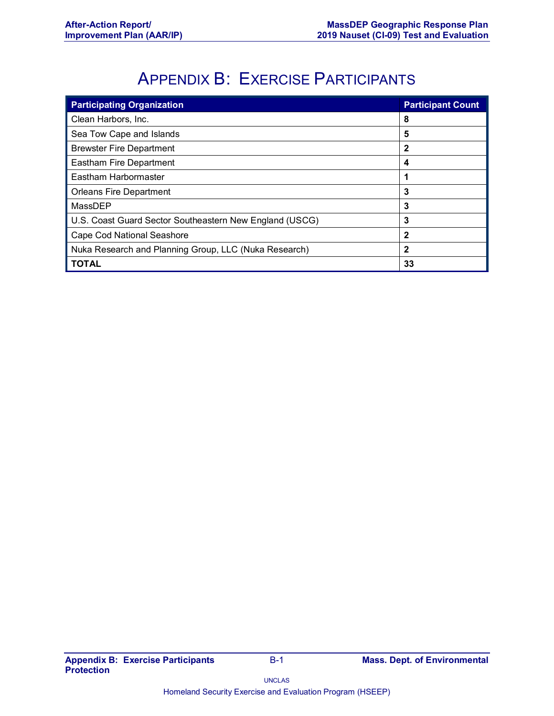## APPENDIX B: EXERCISE PARTICIPANTS

| <b>Participating Organization</b>                       | <b>Participant Count</b> |
|---------------------------------------------------------|--------------------------|
| Clean Harbors, Inc.                                     | 8                        |
| Sea Tow Cape and Islands                                | 5                        |
| <b>Brewster Fire Department</b>                         | 2                        |
| Eastham Fire Department                                 | 4                        |
| Eastham Harbormaster                                    | 1                        |
| <b>Orleans Fire Department</b>                          | 3                        |
| MassDEP                                                 | 3                        |
| U.S. Coast Guard Sector Southeastern New England (USCG) | 3                        |
| <b>Cape Cod National Seashore</b>                       | 2                        |
| Nuka Research and Planning Group, LLC (Nuka Research)   | 2                        |
| <b>TOTAL</b>                                            | 33                       |